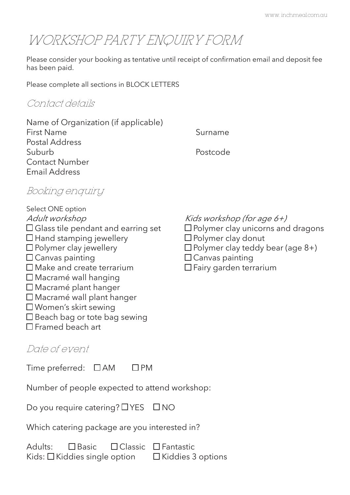# WORKSHOP PARTY ENQUIRY FORM

Please consider your booking as tentative until receipt of confirmation email and deposit fee has been paid.

Please complete all sections in BLOCK LETTERS

### Contact details

| Name of Organization (if applicable) |          |
|--------------------------------------|----------|
| <b>First Name</b>                    | Surname  |
| Postal Address                       |          |
| Suburb                               | Postcode |
| <b>Contact Number</b>                |          |
| <b>Email Address</b>                 |          |

# Booking enquiry

Select ONE option Adult workshop  $Kids$  workshop (for age 6+)  $\Box$  Glass tile pendant and earring set  $\Box$  Polymer clay unicorns and dragons  $\Box$  Hand stamping jewellery  $\Box$  Polymer clay donut  $\Box$  Polymer clay jewellery  $\Box$  Polymer clay teddy bear (age 8+)  $\square$  Canvas painting<br>  $\square$  Make and create terrarium<br>  $\square$  Fairy garden terration  $\Box$  Macramé wall hanging Macramé plant hanger Macramé wall plant hanger Women's skirt sewing □ Beach bag or tote bag sewing Framed beach art

- 
- 
- 
- 
- $\Box$  Fairy garden terrarium

# Date of event

| Time preferred: $\Box$ AM |  | $\Box$ PM |
|---------------------------|--|-----------|
|---------------------------|--|-----------|

Number of people expected to attend workshop:

|  | Do you require catering? □ YES □ NO |  |
|--|-------------------------------------|--|
|  |                                     |  |

Which catering package are you interested in?

Adults: **Classic Classic Clantastic** 

Kids:  $\Box$  Kiddies single option  $\Box$  Kiddies 3 options